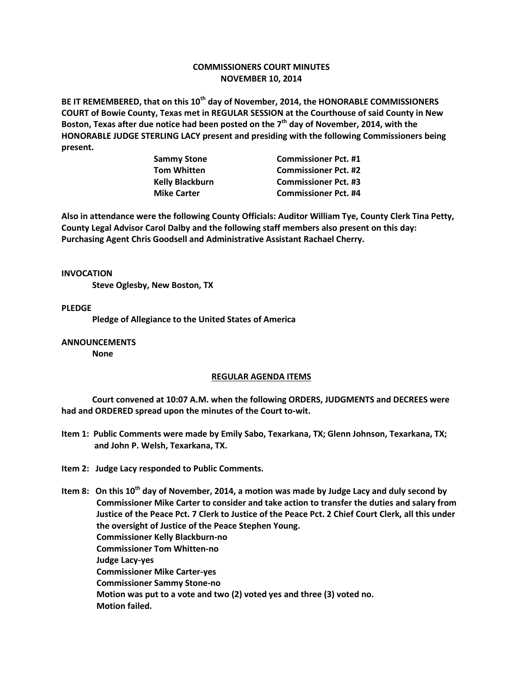## **COMMISSIONERS COURT MINUTES NOVEMBER 10, 2014**

**BE IT REMEMBERED, that on this 10th day of November, 2014, the HONORABLE COMMISSIONERS COURT of Bowie County, Texas met in REGULAR SESSION at the Courthouse of said County in New Boston, Texas after due notice had been posted on the 7th day of November, 2014, with the HONORABLE JUDGE STERLING LACY present and presiding with the following Commissioners being present.**

| <b>Commissioner Pct. #1</b> |
|-----------------------------|
| <b>Commissioner Pct. #2</b> |
| <b>Commissioner Pct. #3</b> |
| <b>Commissioner Pct. #4</b> |
|                             |

**Also in attendance were the following County Officials: Auditor William Tye, County Clerk Tina Petty, County Legal Advisor Carol Dalby and the following staff members also present on this day: Purchasing Agent Chris Goodsell and Administrative Assistant Rachael Cherry.**

**INVOCATION**

**Steve Oglesby, New Boston, TX**

**PLEDGE**

**Pledge of Allegiance to the United States of America**

**ANNOUNCEMENTS None**

## **REGULAR AGENDA ITEMS**

**Court convened at 10:07 A.M. when the following ORDERS, JUDGMENTS and DECREES were had and ORDERED spread upon the minutes of the Court to-wit.**

- **Item 1: Public Comments were made by Emily Sabo, Texarkana, TX; Glenn Johnson, Texarkana, TX; and John P. Welsh, Texarkana, TX.**
- **Item 2: Judge Lacy responded to Public Comments.**

**Item 8: On this 10th day of November, 2014, a motion was made by Judge Lacy and duly second by Commissioner Mike Carter to consider and take action to transfer the duties and salary from Justice of the Peace Pct. 7 Clerk to Justice of the Peace Pct. 2 Chief Court Clerk, all this under the oversight of Justice of the Peace Stephen Young. Commissioner Kelly Blackburn-no Commissioner Tom Whitten-no Judge Lacy-yes Commissioner Mike Carter-yes Commissioner Sammy Stone-no Motion was put to a vote and two (2) voted yes and three (3) voted no. Motion failed.**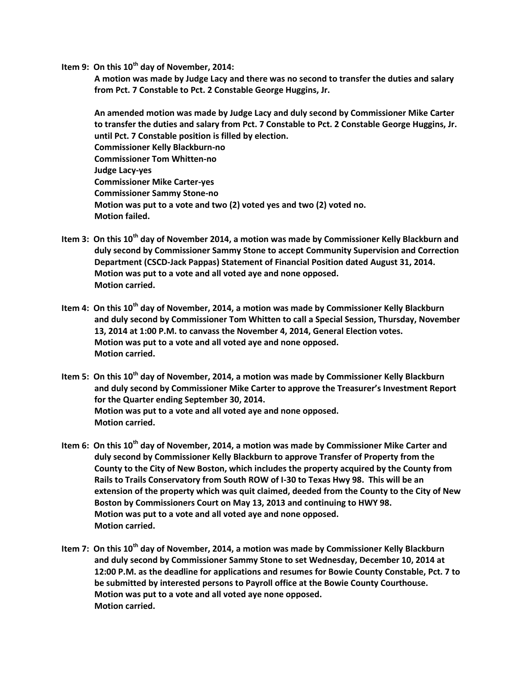**Item 9: On this 10th day of November, 2014:**

**A motion was made by Judge Lacy and there was no second to transfer the duties and salary from Pct. 7 Constable to Pct. 2 Constable George Huggins, Jr.**

**An amended motion was made by Judge Lacy and duly second by Commissioner Mike Carter to transfer the duties and salary from Pct. 7 Constable to Pct. 2 Constable George Huggins, Jr. until Pct. 7 Constable position is filled by election. Commissioner Kelly Blackburn-no Commissioner Tom Whitten-no Judge Lacy-yes Commissioner Mike Carter-yes Commissioner Sammy Stone-no Motion was put to a vote and two (2) voted yes and two (2) voted no. Motion failed.**

- **Item 3: On this 10th day of November 2014, a motion was made by Commissioner Kelly Blackburn and duly second by Commissioner Sammy Stone to accept Community Supervision and Correction Department (CSCD-Jack Pappas) Statement of Financial Position dated August 31, 2014. Motion was put to a vote and all voted aye and none opposed. Motion carried.**
- **Item 4: On this 10th day of November, 2014, a motion was made by Commissioner Kelly Blackburn and duly second by Commissioner Tom Whitten to call a Special Session, Thursday, November 13, 2014 at 1:00 P.M. to canvass the November 4, 2014, General Election votes. Motion was put to a vote and all voted aye and none opposed. Motion carried.**
- **Item 5: On this 10th day of November, 2014, a motion was made by Commissioner Kelly Blackburn and duly second by Commissioner Mike Carter to approve the Treasurer's Investment Report for the Quarter ending September 30, 2014. Motion was put to a vote and all voted aye and none opposed. Motion carried.**
- **Item 6: On this 10th day of November, 2014, a motion was made by Commissioner Mike Carter and duly second by Commissioner Kelly Blackburn to approve Transfer of Property from the County to the City of New Boston, which includes the property acquired by the County from Rails to Trails Conservatory from South ROW of I-30 to Texas Hwy 98. This will be an extension of the property which was quit claimed, deeded from the County to the City of New Boston by Commissioners Court on May 13, 2013 and continuing to HWY 98. Motion was put to a vote and all voted aye and none opposed. Motion carried.**
- **Item 7: On this 10th day of November, 2014, a motion was made by Commissioner Kelly Blackburn and duly second by Commissioner Sammy Stone to set Wednesday, December 10, 2014 at 12:00 P.M. as the deadline for applications and resumes for Bowie County Constable, Pct. 7 to be submitted by interested persons to Payroll office at the Bowie County Courthouse. Motion was put to a vote and all voted aye none opposed. Motion carried.**